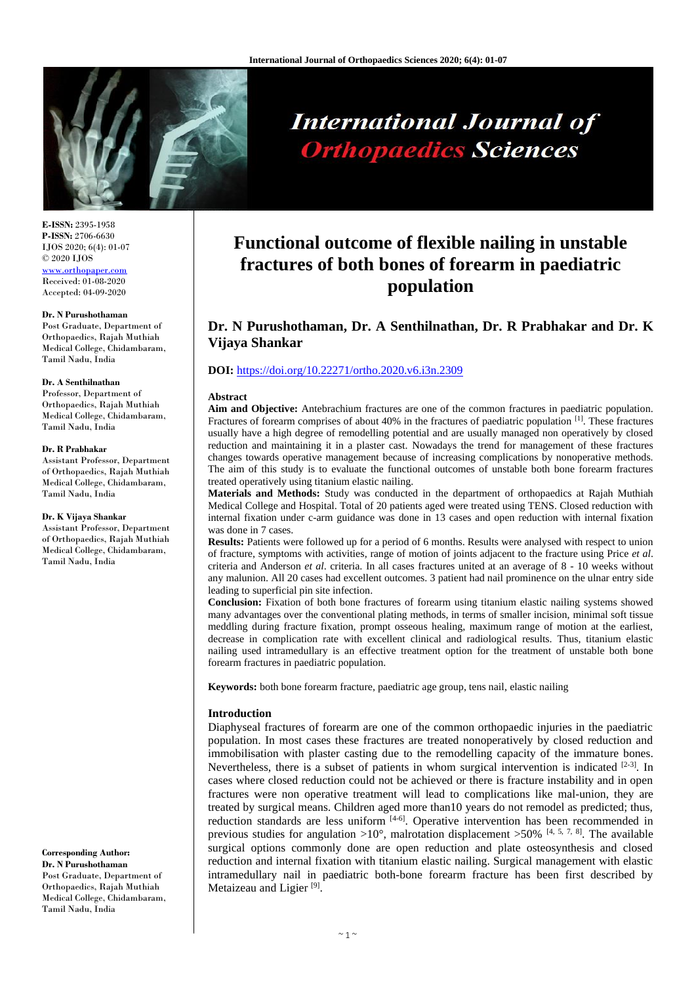

# **International Journal of Orthopaedics Sciences**

**E-ISSN:** 2395-1958 **P-ISSN:** 2706-6630 IJOS 2020; 6(4): 01-07 © 2020 IJOS [www.orthopaper.com](http://www.orthopaper.com/) Received: 01-08-2020 Accepted: 04-09-2020

### **Dr. N Purushothaman**

Post Graduate, Department of Orthopaedics, Rajah Muthiah Medical College, Chidambaram, Tamil Nadu, India

#### **Dr. A Senthilnathan**

Professor, Department of Orthopaedics, Rajah Muthiah Medical College, Chidambaram, Tamil Nadu, India

### **Dr. R Prabhakar**

Assistant Professor, Department of Orthopaedics, Rajah Muthiah Medical College, Chidambaram, Tamil Nadu, India

### **Dr. K Vijaya Shankar**

Assistant Professor, Department of Orthopaedics, Rajah Muthiah Medical College, Chidambaram, Tamil Nadu, India

**Corresponding Author: Dr. N Purushothaman** Post Graduate, Department of Orthopaedics, Rajah Muthiah Medical College, Chidambaram, Tamil Nadu, India

## **Functional outcome of flexible nailing in unstable fractures of both bones of forearm in paediatric population**

### **Dr. N Purushothaman, Dr. A Senthilnathan, Dr. R Prabhakar and Dr. K Vijaya Shankar**

### **DOI:** <https://doi.org/10.22271/ortho.2020.v6.i3n.2309>

### **Abstract**

**Aim and Objective:** Antebrachium fractures are one of the common fractures in paediatric population. Fractures of forearm comprises of about 40% in the fractures of paediatric population [1]. These fractures usually have a high degree of remodelling potential and are usually managed non operatively by closed reduction and maintaining it in a plaster cast. Nowadays the trend for management of these fractures changes towards operative management because of increasing complications by nonoperative methods. The aim of this study is to evaluate the functional outcomes of unstable both bone forearm fractures treated operatively using titanium elastic nailing.

**Materials and Methods:** Study was conducted in the department of orthopaedics at Rajah Muthiah Medical College and Hospital. Total of 20 patients aged were treated using TENS. Closed reduction with internal fixation under c-arm guidance was done in 13 cases and open reduction with internal fixation was done in 7 cases.

**Results:** Patients were followed up for a period of 6 months. Results were analysed with respect to union of fracture, symptoms with activities, range of motion of joints adjacent to the fracture using Price *et al*. criteria and Anderson *et al*. criteria. In all cases fractures united at an average of 8 - 10 weeks without any malunion. All 20 cases had excellent outcomes. 3 patient had nail prominence on the ulnar entry side leading to superficial pin site infection.

**Conclusion:** Fixation of both bone fractures of forearm using titanium elastic nailing systems showed many advantages over the conventional plating methods, in terms of smaller incision, minimal soft tissue meddling during fracture fixation, prompt osseous healing, maximum range of motion at the earliest, decrease in complication rate with excellent clinical and radiological results. Thus, titanium elastic nailing used intramedullary is an effective treatment option for the treatment of unstable both bone forearm fractures in paediatric population.

**Keywords:** both bone forearm fracture, paediatric age group, tens nail, elastic nailing

### **Introduction**

Diaphyseal fractures of forearm are one of the common orthopaedic injuries in the paediatric population. In most cases these fractures are treated nonoperatively by closed reduction and immobilisation with plaster casting due to the remodelling capacity of the immature bones. Nevertheless, there is a subset of patients in whom surgical intervention is indicated [2-3]. In cases where closed reduction could not be achieved or there is fracture instability and in open fractures were non operative treatment will lead to complications like mal-union, they are treated by surgical means. Children aged more than10 years do not remodel as predicted; thus, reduction standards are less uniform  $[4-6]$ . Operative intervention has been recommended in previous studies for angulation  $>10^{\circ}$ , malrotation displacement  $>50\%$  [4, 5, 7, 8]. The available surgical options commonly done are open reduction and plate osteosynthesis and closed reduction and internal fixation with titanium elastic nailing. Surgical management with elastic intramedullary nail in paediatric both-bone forearm fracture has been first described by Metaizeau and Ligier<sup>[9]</sup>.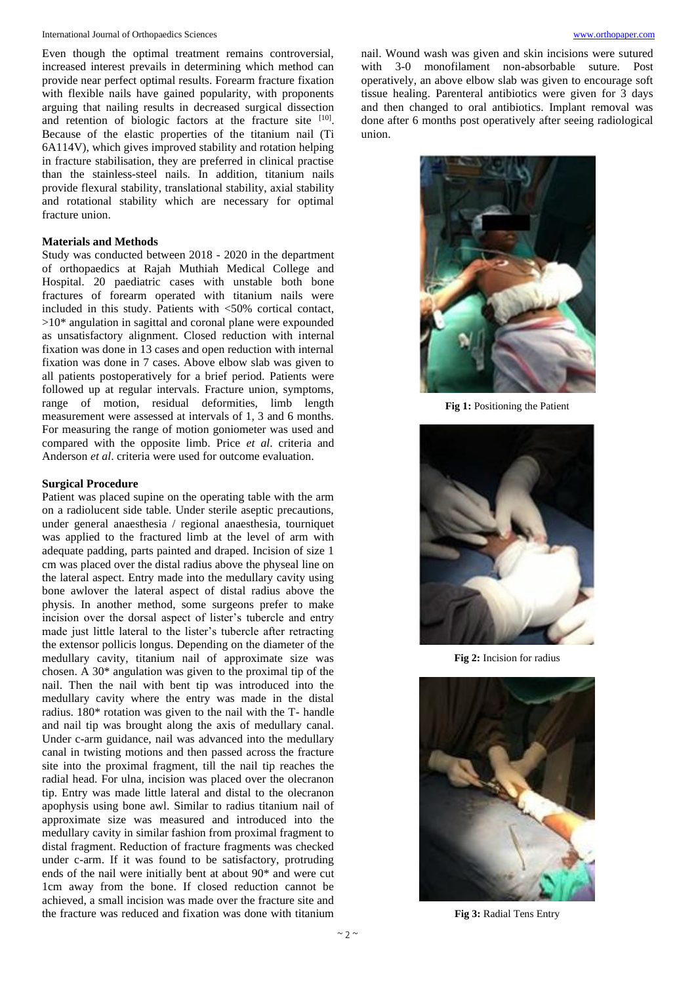Even though the optimal treatment remains controversial, increased interest prevails in determining which method can provide near perfect optimal results. Forearm fracture fixation with flexible nails have gained popularity, with proponents arguing that nailing results in decreased surgical dissection and retention of biologic factors at the fracture site [10]. Because of the elastic properties of the titanium nail (Ti 6A114V), which gives improved stability and rotation helping in fracture stabilisation, they are preferred in clinical practise than the stainless-steel nails. In addition, titanium nails provide flexural stability, translational stability, axial stability and rotational stability which are necessary for optimal fracture union.

### **Materials and Methods**

Study was conducted between 2018 - 2020 in the department of orthopaedics at Rajah Muthiah Medical College and Hospital. 20 paediatric cases with unstable both bone fractures of forearm operated with titanium nails were included in this study. Patients with <50% cortical contact,  $>10^*$  angulation in sagittal and coronal plane were expounded as unsatisfactory alignment. Closed reduction with internal fixation was done in 13 cases and open reduction with internal fixation was done in 7 cases. Above elbow slab was given to all patients postoperatively for a brief period. Patients were followed up at regular intervals. Fracture union, symptoms, range of motion, residual deformities, limb length measurement were assessed at intervals of 1, 3 and 6 months. For measuring the range of motion goniometer was used and compared with the opposite limb. Price *et al*. criteria and Anderson *et al*. criteria were used for outcome evaluation.

### **Surgical Procedure**

Patient was placed supine on the operating table with the arm on a radiolucent side table. Under sterile aseptic precautions, under general anaesthesia / regional anaesthesia, tourniquet was applied to the fractured limb at the level of arm with adequate padding, parts painted and draped. Incision of size 1 cm was placed over the distal radius above the physeal line on the lateral aspect. Entry made into the medullary cavity using bone awlover the lateral aspect of distal radius above the physis. In another method, some surgeons prefer to make incision over the dorsal aspect of lister's tubercle and entry made just little lateral to the lister's tubercle after retracting the extensor pollicis longus. Depending on the diameter of the medullary cavity, titanium nail of approximate size was chosen. A 30\* angulation was given to the proximal tip of the nail. Then the nail with bent tip was introduced into the medullary cavity where the entry was made in the distal radius. 180\* rotation was given to the nail with the T- handle and nail tip was brought along the axis of medullary canal. Under c-arm guidance, nail was advanced into the medullary canal in twisting motions and then passed across the fracture site into the proximal fragment, till the nail tip reaches the radial head. For ulna, incision was placed over the olecranon tip. Entry was made little lateral and distal to the olecranon apophysis using bone awl. Similar to radius titanium nail of approximate size was measured and introduced into the medullary cavity in similar fashion from proximal fragment to distal fragment. Reduction of fracture fragments was checked under c-arm. If it was found to be satisfactory, protruding ends of the nail were initially bent at about 90\* and were cut 1cm away from the bone. If closed reduction cannot be achieved, a small incision was made over the fracture site and the fracture was reduced and fixation was done with titanium

nail. Wound wash was given and skin incisions were sutured with 3-0 monofilament non-absorbable suture. Post operatively, an above elbow slab was given to encourage soft tissue healing. Parenteral antibiotics were given for 3 days and then changed to oral antibiotics. Implant removal was done after 6 months post operatively after seeing radiological union.



**Fig 1:** Positioning the Patient



**Fig 2:** Incision for radius



**Fig 3:** Radial Tens Entry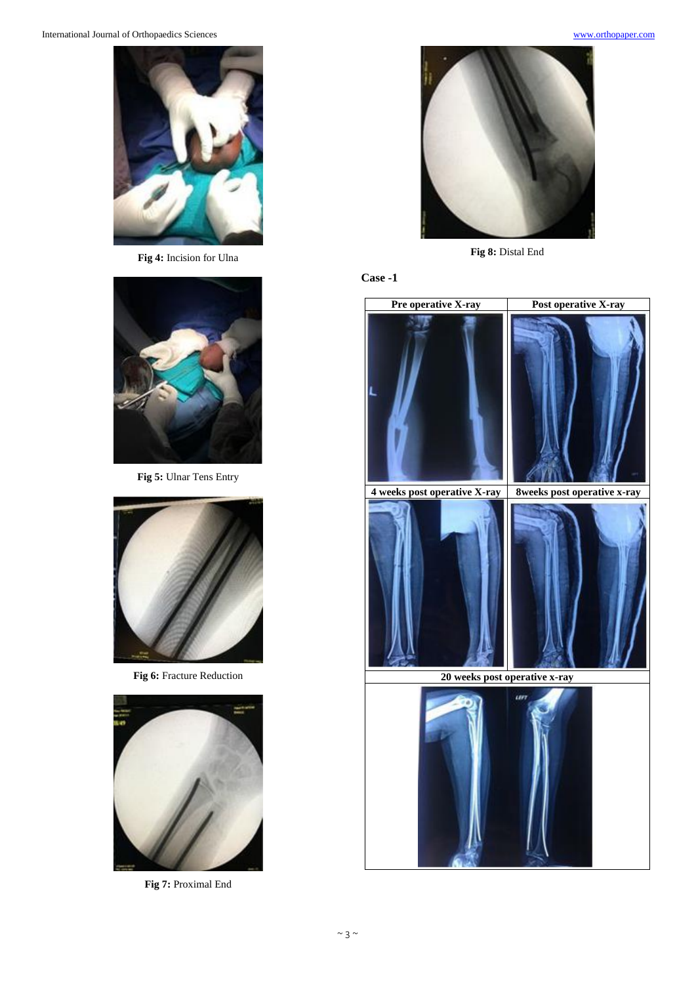

**Fig 4:** Incision for Ulna



**Fig 5:** Ulnar Tens Entry



**Fig 6:** Fracture Reduction



**Fig 7:** Proximal End



**Fig 8:** Distal End

### **Case -1**

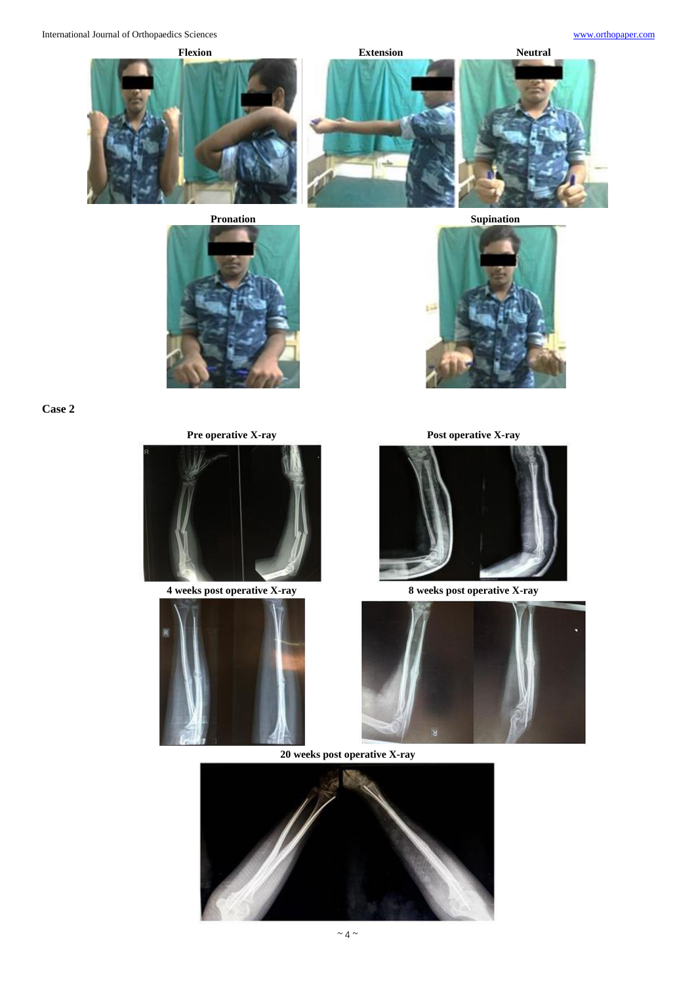International Journal of Orthopaedics Sciences [www.orthopaper.com](http://www.orthopaper.com/)

**Flexion Extension Neutral**





**Case 2**



**4 weeks post operative X-ray 8 weeks post operative X-ray**









**20 weeks post operative X-ray**



 $\sim$  4  $\sim$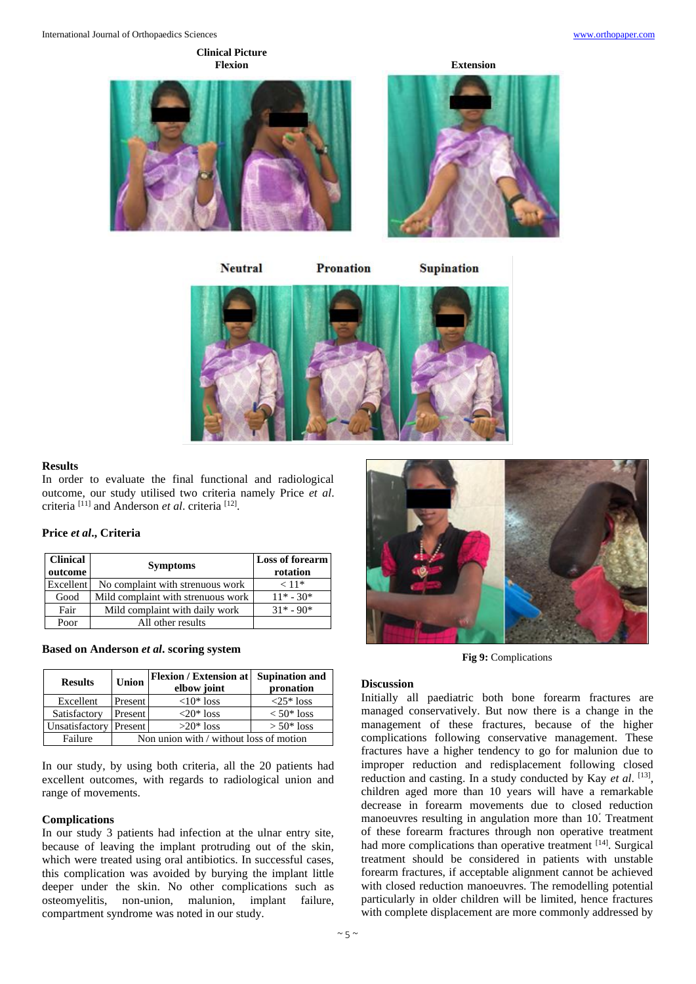### **Clinical Picture Flexion Extension**



**Neutral** 

**Pronation** 

**Supination** 



### **Results**

In order to evaluate the final functional and radiological outcome, our study utilised two criteria namely Price *et al*. criteria [11] and Anderson *et al*. criteria [12] .

### **Price** *et al***., Criteria**

| <b>Clinical</b><br>outcome | <b>Symptoms</b>                    | <b>Loss of forearm</b><br>rotation |
|----------------------------|------------------------------------|------------------------------------|
| Excellent                  | No complaint with strenuous work   | $< 11*$                            |
| Good                       | Mild complaint with strenuous work | $11* - 30*$                        |
| Fair                       | Mild complaint with daily work     | $31* - 90*$                        |
| Poor                       | All other results                  |                                    |

### **Based on Anderson** *et al***. scoring system**

| <b>Results</b>         | <b>Union</b>                            | Flexion / Extension at Supination and<br>elbow joint | pronation          |
|------------------------|-----------------------------------------|------------------------------------------------------|--------------------|
| Excellent              | Present                                 | $<10*$ loss                                          | $\langle 25*$ loss |
| Satisfactory           | Present                                 | $\langle 20^* \text{loss}$                           | $< 50*$ loss       |
| Unsatisfactory Present |                                         | $>20^*$ loss                                         | $> 50*$ loss       |
| Failure                | Non union with / without loss of motion |                                                      |                    |

In our study, by using both criteria, all the 20 patients had excellent outcomes, with regards to radiological union and range of movements.

### **Complications**

In our study 3 patients had infection at the ulnar entry site, because of leaving the implant protruding out of the skin, which were treated using oral antibiotics. In successful cases, this complication was avoided by burying the implant little deeper under the skin. No other complications such as osteomyelitis, non-union, malunion, implant failure, compartment syndrome was noted in our study.



**Fig 9:** Complications

### **Discussion**

Initially all paediatric both bone forearm fractures are managed conservatively. But now there is a change in the management of these fractures, because of the higher complications following conservative management. These fractures have a higher tendency to go for malunion due to improper reduction and redisplacement following closed reduction and casting. In a study conducted by Kay *et al.* [13], children aged more than 10 years will have a remarkable decrease in forearm movements due to closed reduction manoeuvres resulting in angulation more than 10*֯*. Treatment of these forearm fractures through non operative treatment had more complications than operative treatment [14]. Surgical treatment should be considered in patients with unstable forearm fractures, if acceptable alignment cannot be achieved with closed reduction manoeuvres. The remodelling potential particularly in older children will be limited, hence fractures with complete displacement are more commonly addressed by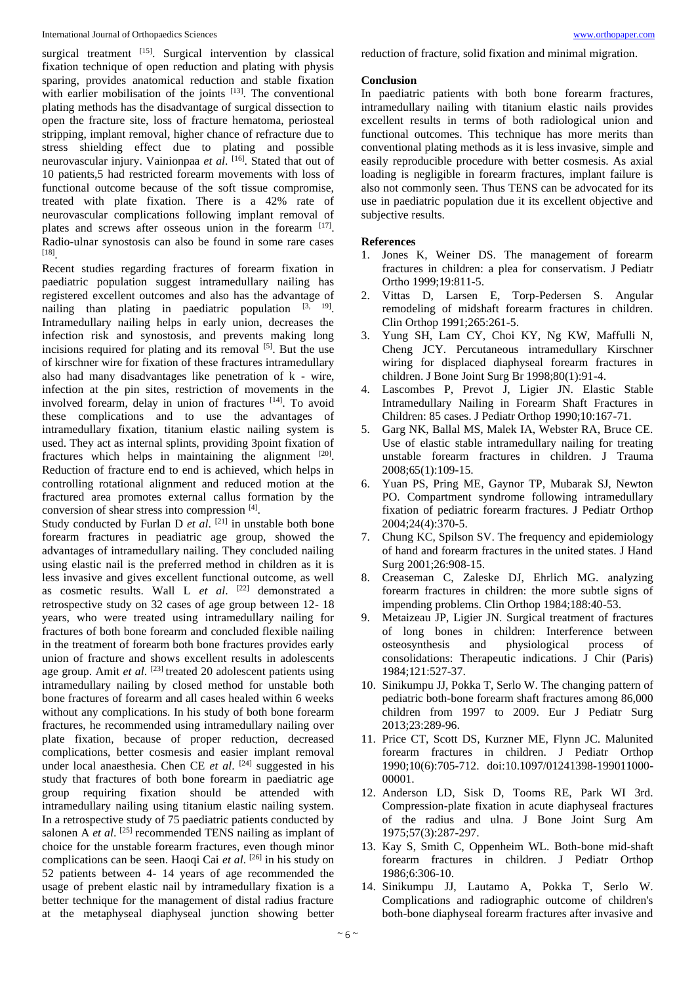#### International Journal of Orthopaedics Sciences [www.orthopaper.com](http://www.orthopaper.com/)

surgical treatment  $^{[15]}$ . Surgical intervention by classical fixation technique of open reduction and plating with physis sparing, provides anatomical reduction and stable fixation with earlier mobilisation of the joints [13]. The conventional plating methods has the disadvantage of surgical dissection to open the fracture site, loss of fracture hematoma, periosteal stripping, implant removal, higher chance of refracture due to stress shielding effect due to plating and possible neurovascular injury. Vainionpaa *et al*. [16] . Stated that out of 10 patients,5 had restricted forearm movements with loss of functional outcome because of the soft tissue compromise, treated with plate fixation. There is a 42% rate of neurovascular complications following implant removal of plates and screws after osseous union in the forearm [17]. Radio-ulnar synostosis can also be found in some rare cases [18] .

Recent studies regarding fractures of forearm fixation in paediatric population suggest intramedullary nailing has registered excellent outcomes and also has the advantage of nailing than plating in paediatric population  $[3, 19]$ . Intramedullary nailing helps in early union, decreases the infection risk and synostosis, and prevents making long incisions required for plating and its removal  $[5]$ . But the use of kirschner wire for fixation of these fractures intramedullary also had many disadvantages like penetration of k - wire, infection at the pin sites, restriction of movements in the involved forearm, delay in union of fractures [14]. To avoid these complications and to use the advantages of intramedullary fixation, titanium elastic nailing system is used. They act as internal splints, providing 3point fixation of fractures which helps in maintaining the alignment [20]. Reduction of fracture end to end is achieved, which helps in controlling rotational alignment and reduced motion at the fractured area promotes external callus formation by the conversion of shear stress into compression [4].

Study conducted by Furlan D *et al*. <sup>[21]</sup> in unstable both bone forearm fractures in peadiatric age group, showed the advantages of intramedullary nailing. They concluded nailing using elastic nail is the preferred method in children as it is less invasive and gives excellent functional outcome, as well as cosmetic results. Wall L *et al*. [22] demonstrated a retrospective study on 32 cases of age group between 12- 18 years, who were treated using intramedullary nailing for fractures of both bone forearm and concluded flexible nailing in the treatment of forearm both bone fractures provides early union of fracture and shows excellent results in adolescents age group. Amit *et al.* <sup>[23]</sup> treated 20 adolescent patients using intramedullary nailing by closed method for unstable both bone fractures of forearm and all cases healed within 6 weeks without any complications. In his study of both bone forearm fractures, he recommended using intramedullary nailing over plate fixation, because of proper reduction, decreased complications, better cosmesis and easier implant removal under local anaesthesia. Chen CE *et al*. [24] suggested in his study that fractures of both bone forearm in paediatric age group requiring fixation should be attended with intramedullary nailing using titanium elastic nailing system. In a retrospective study of 75 paediatric patients conducted by salonen A *et al.* <sup>[25]</sup> recommended TENS nailing as implant of choice for the unstable forearm fractures, even though minor complications can be seen. Haoqi Cai *et al*. [26] in his study on 52 patients between 4- 14 years of age recommended the usage of prebent elastic nail by intramedullary fixation is a better technique for the management of distal radius fracture at the metaphyseal diaphyseal junction showing better

reduction of fracture, solid fixation and minimal migration.

### **Conclusion**

In paediatric patients with both bone forearm fractures, intramedullary nailing with titanium elastic nails provides excellent results in terms of both radiological union and functional outcomes. This technique has more merits than conventional plating methods as it is less invasive, simple and easily reproducible procedure with better cosmesis. As axial loading is negligible in forearm fractures, implant failure is also not commonly seen. Thus TENS can be advocated for its use in paediatric population due it its excellent objective and subjective results.

### **References**

- 1. Jones K, Weiner DS. The management of forearm fractures in children: a plea for conservatism. J Pediatr Ortho 1999;19:811-5.
- 2. Vittas D, Larsen E, Torp-Pedersen S. Angular remodeling of midshaft forearm fractures in children. Clin Orthop 1991;265:261-5.
- 3. Yung SH, Lam CY, Choi KY, Ng KW, Maffulli N, Cheng JCY. Percutaneous intramedullary Kirschner wiring for displaced diaphyseal forearm fractures in children. J Bone Joint Surg Br 1998;80(1):91-4.
- 4. Lascombes P, Prevot J, Ligier JN. Elastic Stable Intramedullary Nailing in Forearm Shaft Fractures in Children: 85 cases. J Pediatr Orthop 1990;10:167-71.
- 5. Garg NK, Ballal MS, Malek IA, Webster RA, Bruce CE. Use of elastic stable intramedullary nailing for treating unstable forearm fractures in children. J Trauma 2008;65(1):109-15.
- 6. Yuan PS, Pring ME, Gaynor TP, Mubarak SJ, Newton PO. Compartment syndrome following intramedullary fixation of pediatric forearm fractures. J Pediatr Orthop 2004;24(4):370-5.
- 7. Chung KC, Spilson SV. The frequency and epidemiology of hand and forearm fractures in the united states. J Hand Surg 2001;26:908-15.
- 8. Creaseman C, Zaleske DJ, Ehrlich MG. analyzing forearm fractures in children: the more subtle signs of impending problems. Clin Orthop 1984;188:40-53.
- 9. Metaizeau JP, Ligier JN. Surgical treatment of fractures of long bones in children: Interference between osteosynthesis and physiological process of consolidations: Therapeutic indications. J Chir (Paris) 1984;121:527-37.
- 10. Sinikumpu JJ, Pokka T, Serlo W. The changing pattern of pediatric both-bone forearm shaft fractures among 86,000 children from 1997 to 2009. Eur J Pediatr Surg 2013;23:289-96.
- 11. Price CT, Scott DS, Kurzner ME, Flynn JC. Malunited forearm fractures in children. J Pediatr Orthop 1990;10(6):705-712. doi:10.1097/01241398-199011000- 00001.
- 12. Anderson LD, Sisk D, Tooms RE, Park WI 3rd. Compression-plate fixation in acute diaphyseal fractures of the radius and ulna. J Bone Joint Surg Am 1975;57(3):287-297.
- 13. Kay S, Smith C, Oppenheim WL. Both-bone mid-shaft forearm fractures in children. J Pediatr Orthop 1986;6:306-10.
- 14. Sinikumpu JJ, Lautamo A, Pokka T, Serlo W. Complications and radiographic outcome of children's both-bone diaphyseal forearm fractures after invasive and